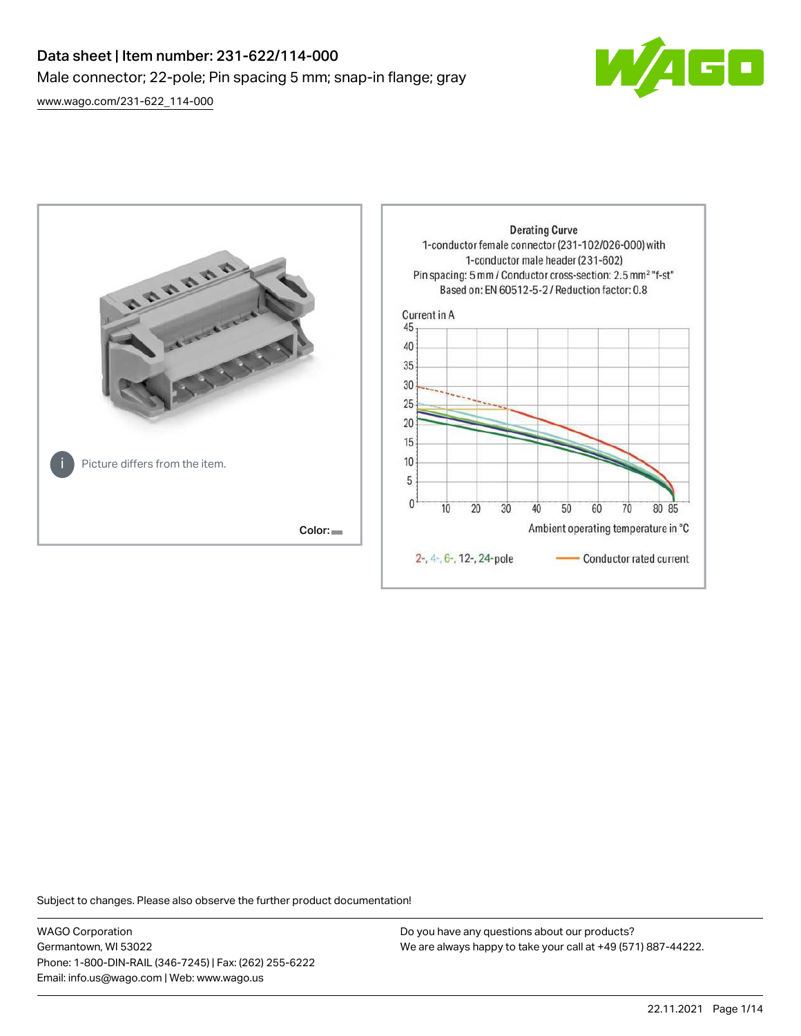# Data sheet | Item number: 231-622/114-000 Male connector; 22-pole; Pin spacing 5 mm; snap-in flange; gray

 $\boxed{\blacksquare}$ 

[www.wago.com/231-622\\_114-000](http://www.wago.com/231-622_114-000)



Subject to changes. Please also observe the further product documentation!

WAGO Corporation Germantown, WI 53022 Phone: 1-800-DIN-RAIL (346-7245) | Fax: (262) 255-6222 Email: info.us@wago.com | Web: www.wago.us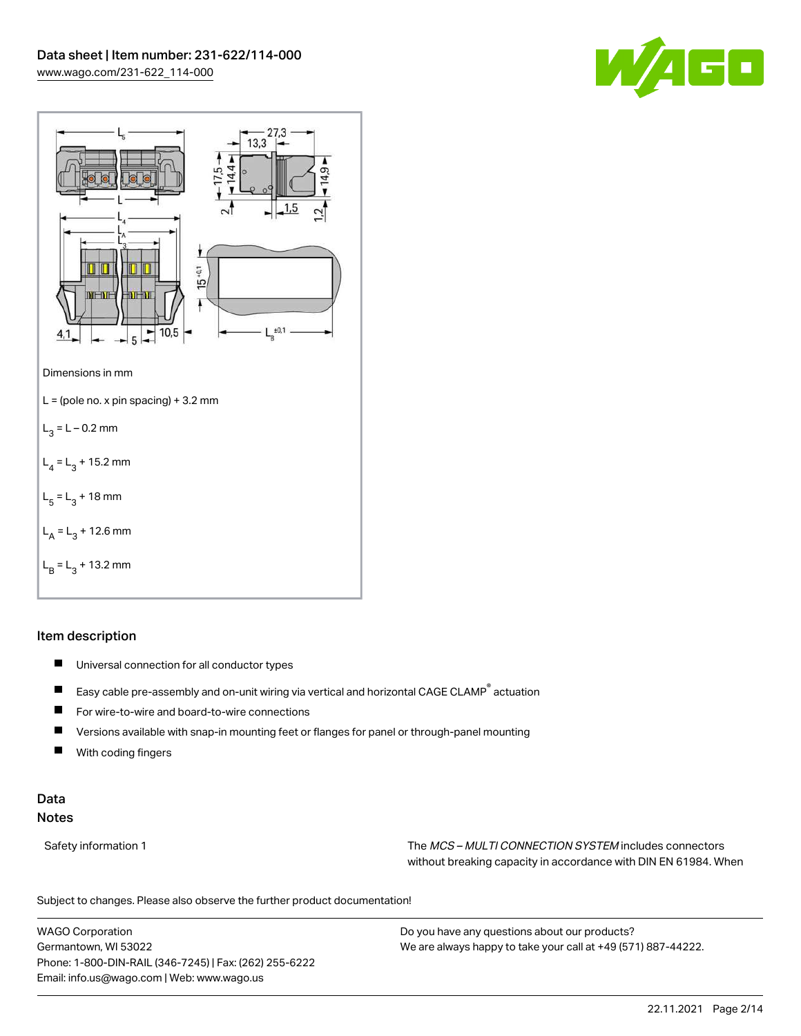



# Item description

- $\blacksquare$ Universal connection for all conductor types
- $\blacksquare$ Easy cable pre-assembly and on-unit wiring via vertical and horizontal CAGE CLAMP® actuation
- $\blacksquare$ For wire-to-wire and board-to-wire connections
- $\blacksquare$ Versions available with snap-in mounting feet or flanges for panel or through-panel mounting
- П With coding fingers

# Data Notes

Safety information 1 The MCS – MULTI CONNECTION SYSTEM includes connectors without breaking capacity in accordance with DIN EN 61984. When

Subject to changes. Please also observe the further product documentation!  $\mathbf{u}$ 

WAGO Corporation Germantown, WI 53022 Phone: 1-800-DIN-RAIL (346-7245) | Fax: (262) 255-6222 Email: info.us@wago.com | Web: www.wago.us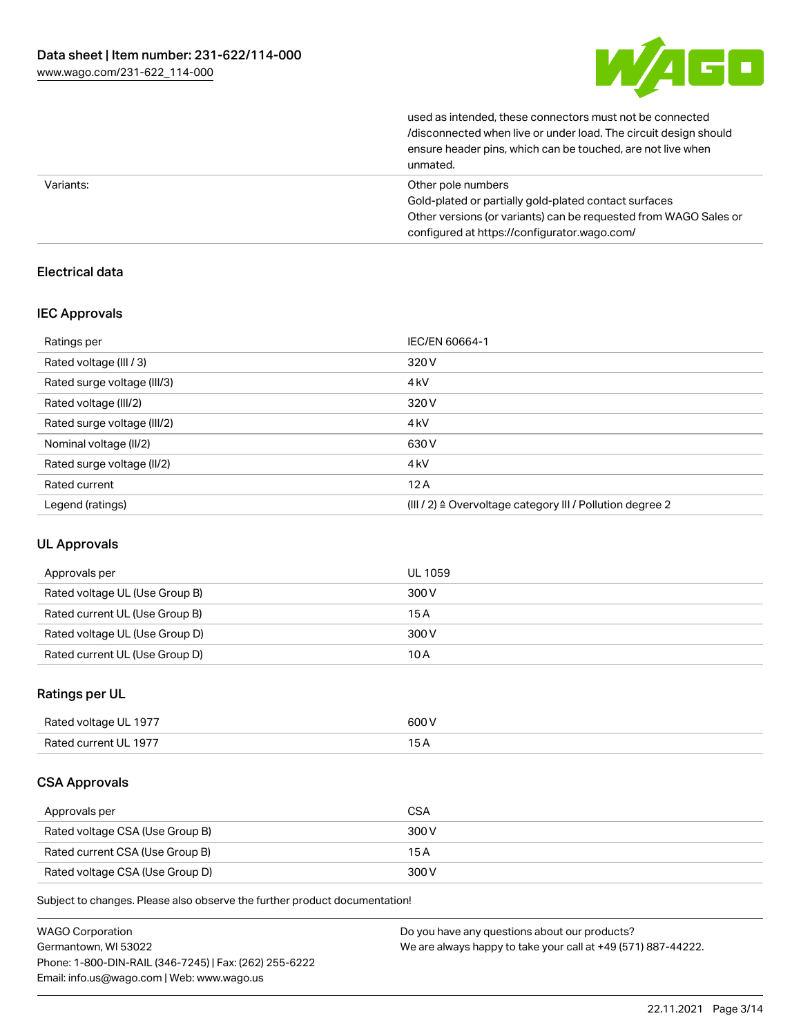

| Other nels numbers                                               |
|------------------------------------------------------------------|
| unmated.                                                         |
| ensure header pins, which can be touched, are not live when      |
| /disconnected when live or under load. The circuit design should |
| used as intended, these connectors must not be connected         |

| Variants: | Other pole numbers                                               |
|-----------|------------------------------------------------------------------|
|           | Gold-plated or partially gold-plated contact surfaces            |
|           | Other versions (or variants) can be requested from WAGO Sales or |
|           | configured at https://configurator.wago.com/                     |

## Electrical data

## IEC Approvals

| Ratings per                 | IEC/EN 60664-1                                                       |
|-----------------------------|----------------------------------------------------------------------|
| Rated voltage (III / 3)     | 320 V                                                                |
| Rated surge voltage (III/3) | 4 <sub>kV</sub>                                                      |
| Rated voltage (III/2)       | 320 V                                                                |
| Rated surge voltage (III/2) | 4 <sub>kV</sub>                                                      |
| Nominal voltage (II/2)      | 630 V                                                                |
| Rated surge voltage (II/2)  | 4 <sub>k</sub> V                                                     |
| Rated current               | 12A                                                                  |
| Legend (ratings)            | (III / 2) $\triangleq$ Overvoltage category III / Pollution degree 2 |

## UL Approvals

| Approvals per                  | UL 1059 |
|--------------------------------|---------|
| Rated voltage UL (Use Group B) | 300 V   |
| Rated current UL (Use Group B) | 15 A    |
| Rated voltage UL (Use Group D) | 300 V   |
| Rated current UL (Use Group D) | 10 A    |

# Ratings per UL

| Rated voltage UL 1977 | 600 V |
|-----------------------|-------|
| Rated current UL 1977 |       |

## CSA Approvals

| Approvals per                   | <b>CSA</b> |
|---------------------------------|------------|
| Rated voltage CSA (Use Group B) | 300 V      |
| Rated current CSA (Use Group B) | 15 A       |
| Rated voltage CSA (Use Group D) | 300 V      |

Subject to changes. Please also observe the further product documentation!

| <b>WAGO Corporation</b>                                | Do you have any questions about our products?                 |
|--------------------------------------------------------|---------------------------------------------------------------|
| Germantown, WI 53022                                   | We are always happy to take your call at +49 (571) 887-44222. |
| Phone: 1-800-DIN-RAIL (346-7245)   Fax: (262) 255-6222 |                                                               |
| Email: info.us@wago.com   Web: www.wago.us             |                                                               |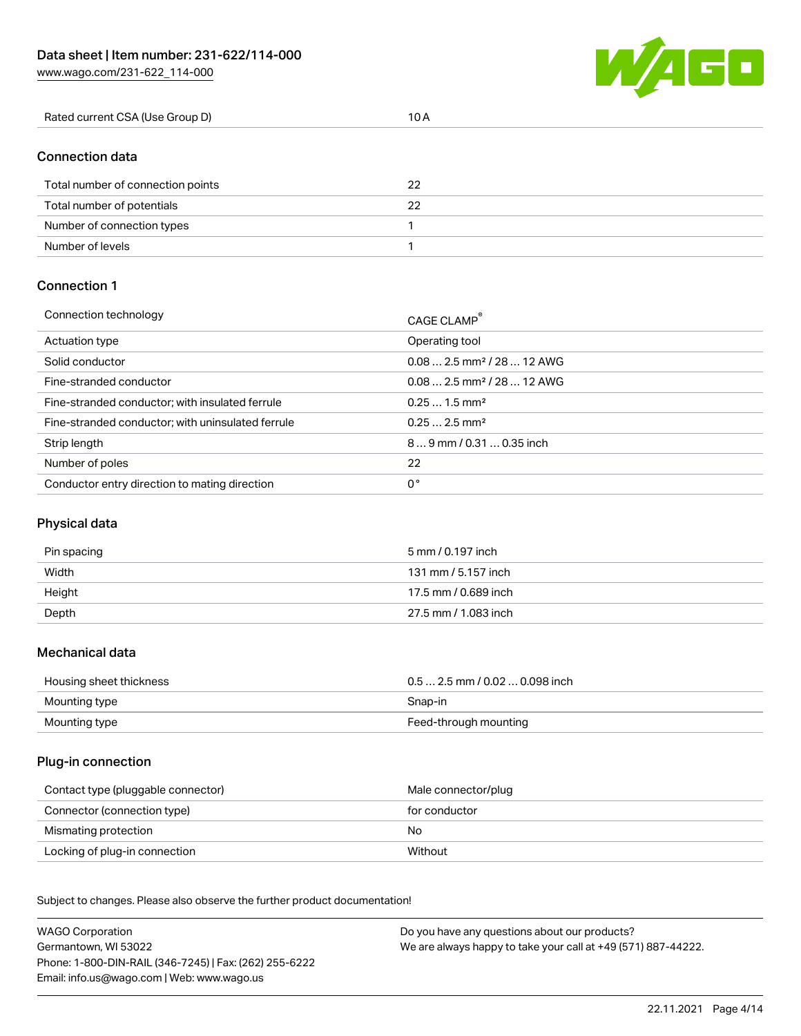[www.wago.com/231-622\\_114-000](http://www.wago.com/231-622_114-000)



| Rated current CSA (Use Group D) | 10 A |
|---------------------------------|------|
|                                 |      |
|                                 |      |

#### Connection data

| Total number of connection points | 22 |
|-----------------------------------|----|
| Total number of potentials        |    |
| Number of connection types        |    |
| Number of levels                  |    |

## Connection 1

| Connection technology                             | CAGE CLAMP                              |
|---------------------------------------------------|-----------------------------------------|
| Actuation type                                    | Operating tool                          |
| Solid conductor                                   | $0.082.5$ mm <sup>2</sup> / 28  12 AWG  |
| Fine-stranded conductor                           | $0.08$ 2.5 mm <sup>2</sup> / 28  12 AWG |
| Fine-stranded conductor; with insulated ferrule   | $0.251.5$ mm <sup>2</sup>               |
| Fine-stranded conductor; with uninsulated ferrule | $0.252.5$ mm <sup>2</sup>               |
| Strip length                                      | $89$ mm / 0.31  0.35 inch               |
| Number of poles                                   | 22                                      |
| Conductor entry direction to mating direction     | 0°                                      |

## Physical data

| Pin spacing | 5 mm / 0.197 inch    |
|-------------|----------------------|
| Width       | 131 mm / 5.157 inch  |
| Height      | 17.5 mm / 0.689 inch |
| Depth       | 27.5 mm / 1.083 inch |

#### Mechanical data

| Housing sheet thickness | $0.5$ 2.5 mm / 0.02  0.098 inch |
|-------------------------|---------------------------------|
| Mounting type           | Snap-in                         |
| Mounting type           | Feed-through mounting           |

## Plug-in connection

| Contact type (pluggable connector) | Male connector/plug |
|------------------------------------|---------------------|
| Connector (connection type)        | for conductor       |
| Mismating protection               | No.                 |
| Locking of plug-in connection      | Without             |

Subject to changes. Please also observe the further product documentation! Material data

| <b>WAGO Corporation</b>                                | Do you have any questions about our products?                 |
|--------------------------------------------------------|---------------------------------------------------------------|
| Germantown, WI 53022                                   | We are always happy to take your call at +49 (571) 887-44222. |
| Phone: 1-800-DIN-RAIL (346-7245)   Fax: (262) 255-6222 |                                                               |
| Email: info.us@wago.com   Web: www.wago.us             |                                                               |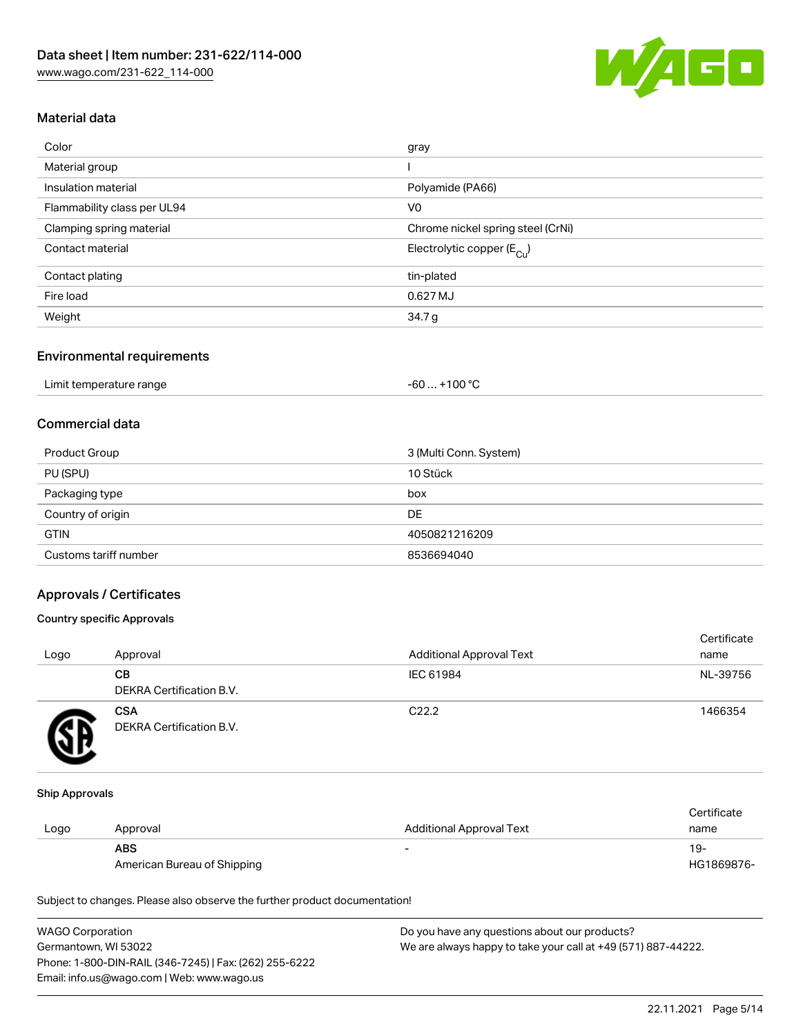

## Material data

| Color                       | gray                                    |
|-----------------------------|-----------------------------------------|
| Material group              |                                         |
| Insulation material         | Polyamide (PA66)                        |
| Flammability class per UL94 | V <sub>0</sub>                          |
| Clamping spring material    | Chrome nickel spring steel (CrNi)       |
| Contact material            | Electrolytic copper ( $E_{\text{Cu}}$ ) |
| Contact plating             | tin-plated                              |
| Fire load                   | 0.627 MJ                                |
| Weight                      | 34.7 g                                  |
|                             |                                         |

#### Environmental requirements

| Limit temperature range | . +100 °C<br>$-60$ |
|-------------------------|--------------------|
|-------------------------|--------------------|

# Commercial data

| Product Group         | 3 (Multi Conn. System) |
|-----------------------|------------------------|
| PU (SPU)              | 10 Stück               |
| Packaging type        | box                    |
| Country of origin     | DE                     |
| <b>GTIN</b>           | 4050821216209          |
| Customs tariff number | 8536694040             |

## Approvals / Certificates

#### Country specific Approvals

| Logo | Approval                               | <b>Additional Approval Text</b> | Certificate<br>name |
|------|----------------------------------------|---------------------------------|---------------------|
|      | CВ<br><b>DEKRA Certification B.V.</b>  | IEC 61984                       | NL-39756            |
|      | <b>CSA</b><br>DEKRA Certification B.V. | C <sub>22.2</sub>               | 1466354             |

#### Ship Approvals

|      |                             |                          | Certificate |
|------|-----------------------------|--------------------------|-------------|
| Logo | Approval                    | Additional Approval Text | name        |
|      | <b>ABS</b>                  | -                        | $19-$       |
|      | American Bureau of Shipping |                          | HG1869876-  |

Subject to changes. Please also observe the further product documentation!

| <b>WAGO Corporation</b>                                | Do you have any questions about our products?                 |
|--------------------------------------------------------|---------------------------------------------------------------|
| Germantown, WI 53022                                   | We are always happy to take your call at +49 (571) 887-44222. |
| Phone: 1-800-DIN-RAIL (346-7245)   Fax: (262) 255-6222 |                                                               |
| Email: info.us@wago.com   Web: www.wago.us             |                                                               |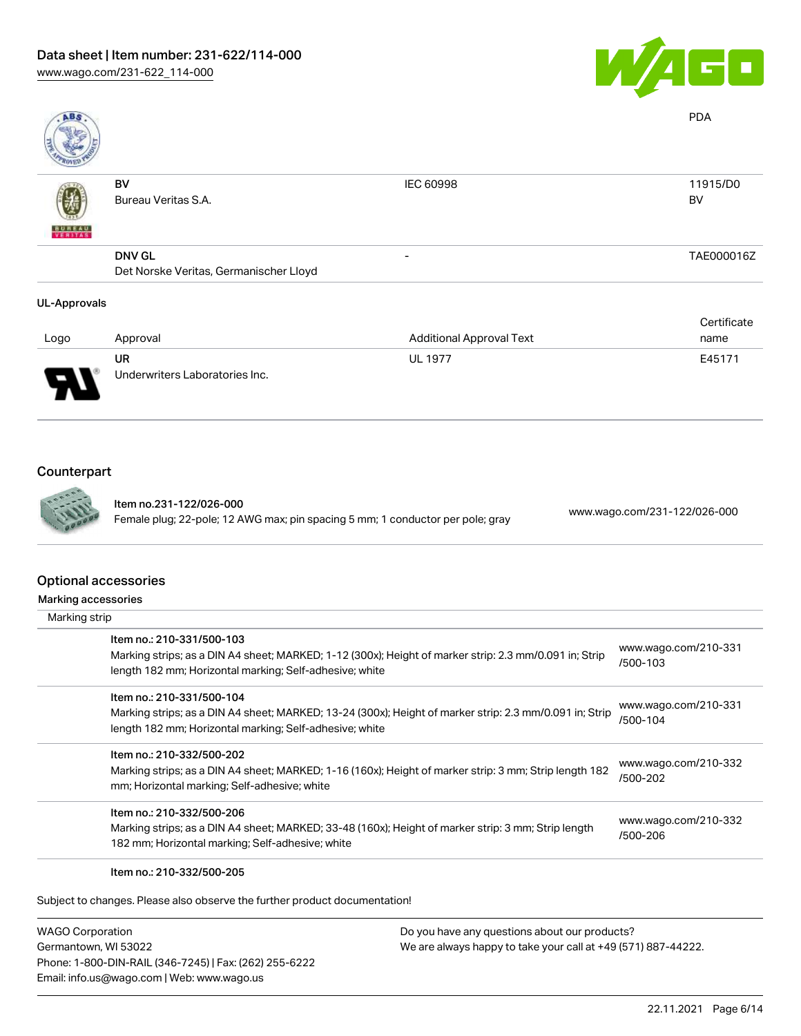

| <b>ABS</b>          |                                        |                                 | <b>PDA</b>  |
|---------------------|----------------------------------------|---------------------------------|-------------|
|                     | BV                                     | <b>IEC 60998</b>                | 11915/D0    |
|                     | Bureau Veritas S.A.                    |                                 | BV          |
| <b>BUREAU</b>       |                                        |                                 |             |
|                     | <b>DNV GL</b>                          | $\overline{\phantom{a}}$        | TAE000016Z  |
|                     | Det Norske Veritas, Germanischer Lloyd |                                 |             |
| <b>UL-Approvals</b> |                                        |                                 |             |
|                     |                                        |                                 | Certificate |
| Logo                | Approval                               | <b>Additional Approval Text</b> | name        |

| Logo                          | Approval                       | <b>Additional Approval Text</b> | name   |
|-------------------------------|--------------------------------|---------------------------------|--------|
|                               | UR                             | <b>UL 1977</b>                  | E45171 |
| O<br>$\overline{\phantom{a}}$ | Underwriters Laboratories Inc. |                                 |        |

# Counterpart



Item no.231-122/026-000 Female plug; 22-pole; 12 AWG max; pin spacing 5 mm; 1 conductor per pole; gray [www.wago.com/231-122/026-000](https://www.wago.com/231-122/026-000)

#### Optio

| Optional accessories                                                                                                                                                                            |                                  |
|-------------------------------------------------------------------------------------------------------------------------------------------------------------------------------------------------|----------------------------------|
| Marking accessories                                                                                                                                                                             |                                  |
| Marking strip                                                                                                                                                                                   |                                  |
| Item no.: 210-331/500-103<br>Marking strips; as a DIN A4 sheet; MARKED; 1-12 (300x); Height of marker strip: 2.3 mm/0.091 in; Strip<br>length 182 mm; Horizontal marking; Self-adhesive; white  | www.wago.com/210-331<br>/500-103 |
| Item no.: 210-331/500-104<br>Marking strips; as a DIN A4 sheet; MARKED; 13-24 (300x); Height of marker strip: 2.3 mm/0.091 in; Strip<br>length 182 mm; Horizontal marking; Self-adhesive; white | www.wago.com/210-331<br>/500-104 |
| Item no.: 210-332/500-202<br>Marking strips; as a DIN A4 sheet; MARKED; 1-16 (160x); Height of marker strip: 3 mm; Strip length 182<br>mm; Horizontal marking; Self-adhesive; white             | www.wago.com/210-332<br>/500-202 |
| Item no.: 210-332/500-206<br>Marking strips; as a DIN A4 sheet; MARKED; 33-48 (160x); Height of marker strip: 3 mm; Strip length<br>182 mm; Horizontal marking; Self-adhesive; white            | www.wago.com/210-332<br>/500-206 |
| Item no.: 210-332/500-205                                                                                                                                                                       |                                  |

Subject to changes. Please also observe the further product documentation!

WAGO Corporation Germantown, WI 53022 Phone: 1-800-DIN-RAIL (346-7245) | Fax: (262) 255-6222 Email: info.us@wago.com | Web: www.wago.us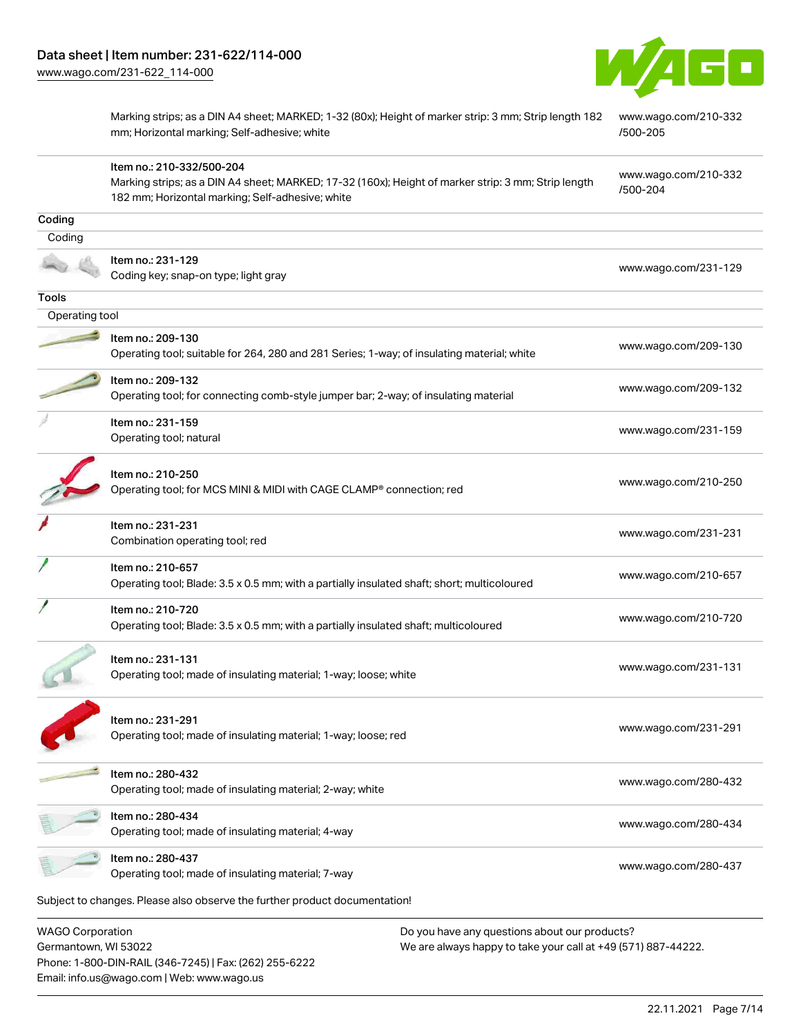

[www.wago.com/210-332](http://www.wago.com/210-332/500-204)

[/500-204](http://www.wago.com/210-332/500-204)

Marking strips; as a DIN A4 sheet; MARKED; 1-32 (80x); Height of marker strip: 3 mm; Strip length 182 mm; Horizontal marking; Self-adhesive; white [www.wago.com/210-332](http://www.wago.com/210-332/500-205) [/500-205](http://www.wago.com/210-332/500-205)

Item no.: 210-332/500-204

Marking strips; as a DIN A4 sheet; MARKED; 17-32 (160x); Height of marker strip: 3 mm; Strip length 182 mm; Horizontal marking; Self-adhesive; white

| Coding                  |                                                                                                                  |                      |
|-------------------------|------------------------------------------------------------------------------------------------------------------|----------------------|
| Coding                  |                                                                                                                  |                      |
|                         | Item no.: 231-129<br>Coding key; snap-on type; light gray                                                        | www.wago.com/231-129 |
| Tools                   |                                                                                                                  |                      |
| Operating tool          |                                                                                                                  |                      |
|                         | Item no.: 209-130<br>Operating tool; suitable for 264, 280 and 281 Series; 1-way; of insulating material; white  | www.wago.com/209-130 |
|                         | Item no.: 209-132<br>Operating tool; for connecting comb-style jumper bar; 2-way; of insulating material         | www.wago.com/209-132 |
|                         | Item no.: 231-159<br>Operating tool; natural                                                                     | www.wago.com/231-159 |
|                         | Item no.: 210-250<br>Operating tool; for MCS MINI & MIDI with CAGE CLAMP <sup>®</sup> connection; red            | www.wago.com/210-250 |
|                         | Item no.: 231-231<br>Combination operating tool; red                                                             | www.wago.com/231-231 |
|                         | Item no.: 210-657<br>Operating tool; Blade: 3.5 x 0.5 mm; with a partially insulated shaft; short; multicoloured | www.wago.com/210-657 |
|                         | Item no.: 210-720<br>Operating tool; Blade: 3.5 x 0.5 mm; with a partially insulated shaft; multicoloured        | www.wago.com/210-720 |
|                         | Item no.: 231-131<br>Operating tool; made of insulating material; 1-way; loose; white                            | www.wago.com/231-131 |
|                         | Item no.: 231-291<br>Operating tool; made of insulating material; 1-way; loose; red                              | www.wago.com/231-291 |
|                         | Item no.: 280-432<br>Operating tool; made of insulating material; 2-way; white                                   | www.wago.com/280-432 |
|                         | ltem no.: 280-434<br>Operating tool; made of insulating material; 4-way                                          | www.wago.com/280-434 |
|                         | Item no.: 280-437<br>Operating tool; made of insulating material; 7-way                                          | www.wago.com/280-437 |
|                         | Subject to changes. Please also observe the further product documentation!                                       |                      |
| <b>WAGO Corporation</b> | Do you have any questions about our products?                                                                    |                      |

Germantown, WI 53022 Phone: 1-800-DIN-RAIL (346-7245) | Fax: (262) 255-6222 Email: info.us@wago.com | Web: www.wago.us

We are always happy to take your call at +49 (571) 887-44222.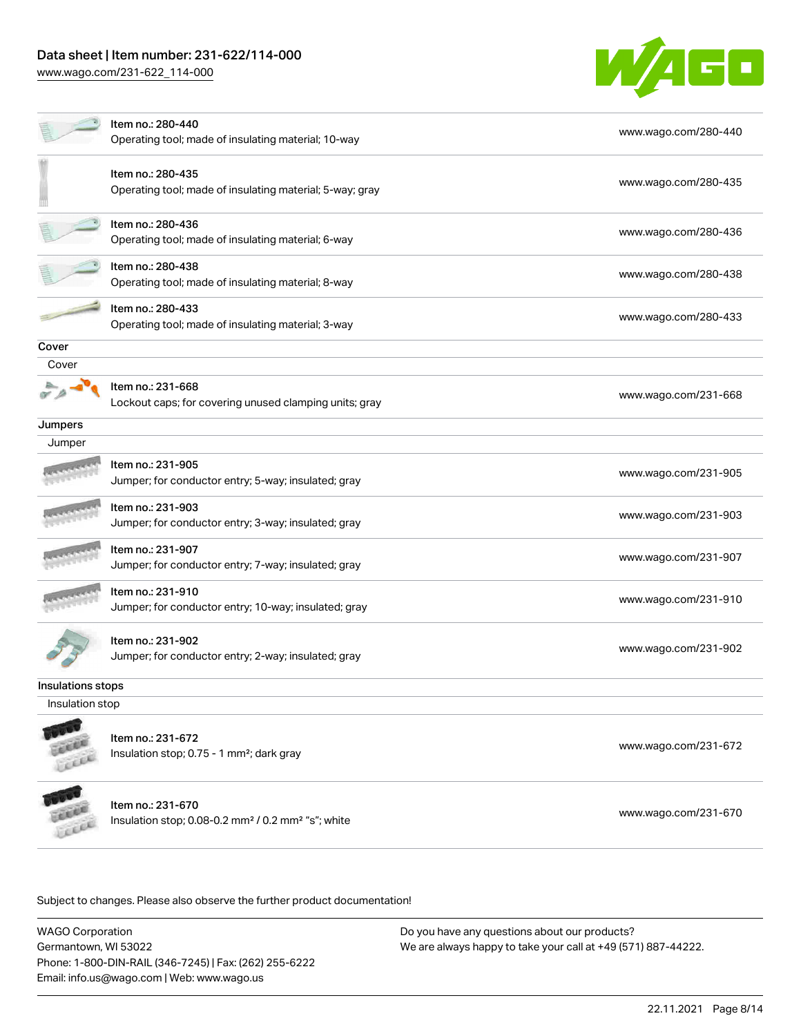# Data sheet | Item number: 231-622/114-000

[www.wago.com/231-622\\_114-000](http://www.wago.com/231-622_114-000)



|                   | Item no.: 280-440<br>Operating tool; made of insulating material; 10-way                        | www.wago.com/280-440 |  |  |
|-------------------|-------------------------------------------------------------------------------------------------|----------------------|--|--|
|                   | Item no.: 280-435<br>Operating tool; made of insulating material; 5-way; gray                   | www.wago.com/280-435 |  |  |
|                   | Item no.: 280-436<br>Operating tool; made of insulating material; 6-way                         | www.wago.com/280-436 |  |  |
|                   | Item no.: 280-438<br>Operating tool; made of insulating material; 8-way                         | www.wago.com/280-438 |  |  |
|                   | Item no.: 280-433<br>Operating tool; made of insulating material; 3-way                         | www.wago.com/280-433 |  |  |
| Cover             |                                                                                                 |                      |  |  |
| Cover             |                                                                                                 |                      |  |  |
|                   | Item no.: 231-668<br>Lockout caps; for covering unused clamping units; gray                     | www.wago.com/231-668 |  |  |
| Jumpers           |                                                                                                 |                      |  |  |
| Jumper            |                                                                                                 |                      |  |  |
|                   | Item no.: 231-905<br>Jumper; for conductor entry; 5-way; insulated; gray                        | www.wago.com/231-905 |  |  |
|                   | Item no.: 231-903<br>Jumper; for conductor entry; 3-way; insulated; gray                        | www.wago.com/231-903 |  |  |
|                   | Item no.: 231-907<br>Jumper; for conductor entry; 7-way; insulated; gray                        | www.wago.com/231-907 |  |  |
|                   | Item no.: 231-910<br>Jumper; for conductor entry; 10-way; insulated; gray                       | www.wago.com/231-910 |  |  |
|                   | Item no.: 231-902<br>Jumper; for conductor entry; 2-way; insulated; gray                        | www.wago.com/231-902 |  |  |
| Insulations stops |                                                                                                 |                      |  |  |
| Insulation stop   |                                                                                                 |                      |  |  |
|                   | Item no.: 231-672<br>Insulation stop; 0.75 - 1 mm <sup>2</sup> ; dark gray                      | www.wago.com/231-672 |  |  |
|                   | Item no.: 231-670<br>Insulation stop; 0.08-0.2 mm <sup>2</sup> / 0.2 mm <sup>2</sup> "s"; white | www.wago.com/231-670 |  |  |
|                   |                                                                                                 |                      |  |  |

Subject to changes. Please also observe the further product documentation!

WAGO Corporation Germantown, WI 53022 Phone: 1-800-DIN-RAIL (346-7245) | Fax: (262) 255-6222 Email: info.us@wago.com | Web: www.wago.us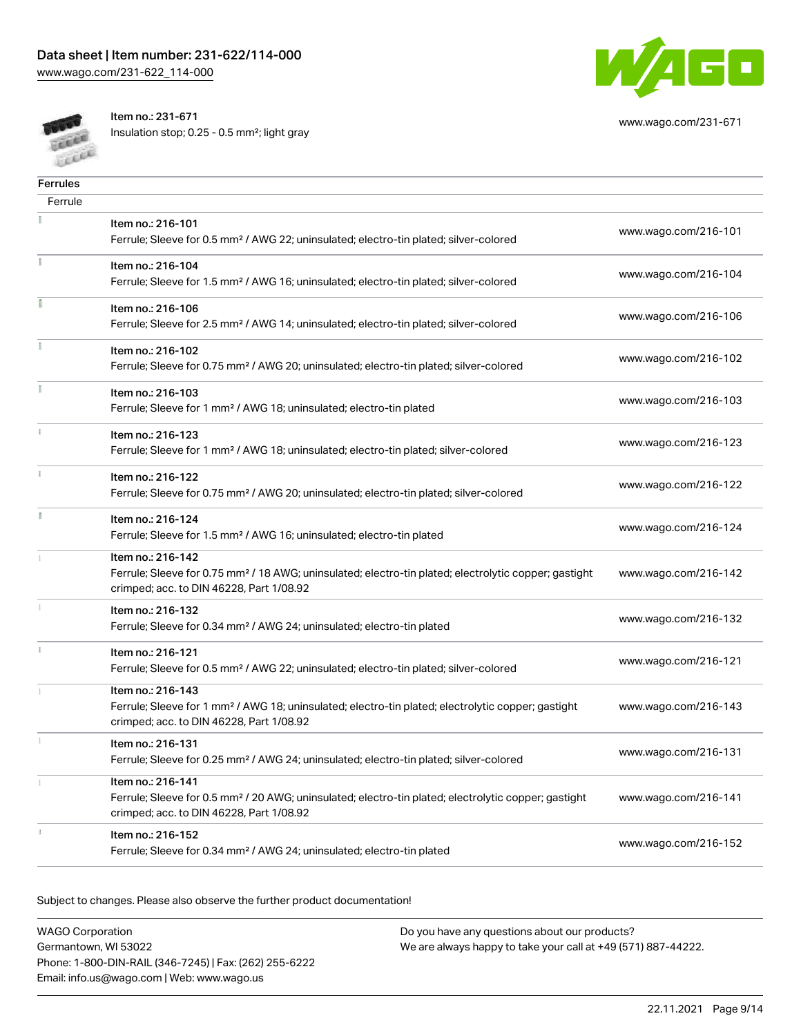[www.wago.com/231-622\\_114-000](http://www.wago.com/231-622_114-000)



Item no.: 231-671

Insulation stop; 0.25 - 0.5 mm²; light gray

| <b>Ferrules</b> |                                                                                                                                                                                    |                      |
|-----------------|------------------------------------------------------------------------------------------------------------------------------------------------------------------------------------|----------------------|
| Ferrule         |                                                                                                                                                                                    |                      |
|                 | Item no.: 216-101<br>Ferrule; Sleeve for 0.5 mm <sup>2</sup> / AWG 22; uninsulated; electro-tin plated; silver-colored                                                             | www.wago.com/216-101 |
|                 | Item no.: 216-104<br>Ferrule; Sleeve for 1.5 mm <sup>2</sup> / AWG 16; uninsulated; electro-tin plated; silver-colored                                                             | www.wago.com/216-104 |
|                 | Item no.: 216-106<br>Ferrule; Sleeve for 2.5 mm <sup>2</sup> / AWG 14; uninsulated; electro-tin plated; silver-colored                                                             | www.wago.com/216-106 |
|                 | Item no.: 216-102<br>Ferrule; Sleeve for 0.75 mm <sup>2</sup> / AWG 20; uninsulated; electro-tin plated; silver-colored                                                            | www.wago.com/216-102 |
|                 | Item no.: 216-103<br>Ferrule; Sleeve for 1 mm <sup>2</sup> / AWG 18; uninsulated; electro-tin plated                                                                               | www.wago.com/216-103 |
|                 | Item no.: 216-123<br>Ferrule; Sleeve for 1 mm <sup>2</sup> / AWG 18; uninsulated; electro-tin plated; silver-colored                                                               | www.wago.com/216-123 |
|                 | Item no.: 216-122<br>Ferrule; Sleeve for 0.75 mm <sup>2</sup> / AWG 20; uninsulated; electro-tin plated; silver-colored                                                            | www.wago.com/216-122 |
|                 | Item no.: 216-124<br>Ferrule; Sleeve for 1.5 mm <sup>2</sup> / AWG 16; uninsulated; electro-tin plated                                                                             | www.wago.com/216-124 |
|                 | Item no.: 216-142<br>Ferrule; Sleeve for 0.75 mm <sup>2</sup> / 18 AWG; uninsulated; electro-tin plated; electrolytic copper; gastight<br>crimped; acc. to DIN 46228, Part 1/08.92 | www.wago.com/216-142 |
|                 | Item no.: 216-132<br>Ferrule; Sleeve for 0.34 mm <sup>2</sup> / AWG 24; uninsulated; electro-tin plated                                                                            | www.wago.com/216-132 |
| ī.              | Item no.: 216-121<br>Ferrule; Sleeve for 0.5 mm <sup>2</sup> / AWG 22; uninsulated; electro-tin plated; silver-colored                                                             | www.wago.com/216-121 |
|                 | Item no.: 216-143<br>Ferrule; Sleeve for 1 mm <sup>2</sup> / AWG 18; uninsulated; electro-tin plated; electrolytic copper; gastight<br>crimped; acc. to DIN 46228, Part 1/08.92    | www.wago.com/216-143 |
|                 | Item no.: 216-131<br>Ferrule; Sleeve for 0.25 mm <sup>2</sup> / AWG 24; uninsulated; electro-tin plated; silver-colored                                                            | www.wago.com/216-131 |
|                 | Item no.: 216-141<br>Ferrule; Sleeve for 0.5 mm <sup>2</sup> / 20 AWG; uninsulated; electro-tin plated; electrolytic copper; gastight<br>crimped; acc. to DIN 46228, Part 1/08.92  | www.wago.com/216-141 |
|                 | Item no.: 216-152<br>Ferrule; Sleeve for 0.34 mm <sup>2</sup> / AWG 24; uninsulated; electro-tin plated                                                                            | www.wago.com/216-152 |
|                 |                                                                                                                                                                                    |                      |

Subject to changes. Please also observe the further product documentation!

WAGO Corporation Germantown, WI 53022 Phone: 1-800-DIN-RAIL (346-7245) | Fax: (262) 255-6222 Email: info.us@wago.com | Web: www.wago.us

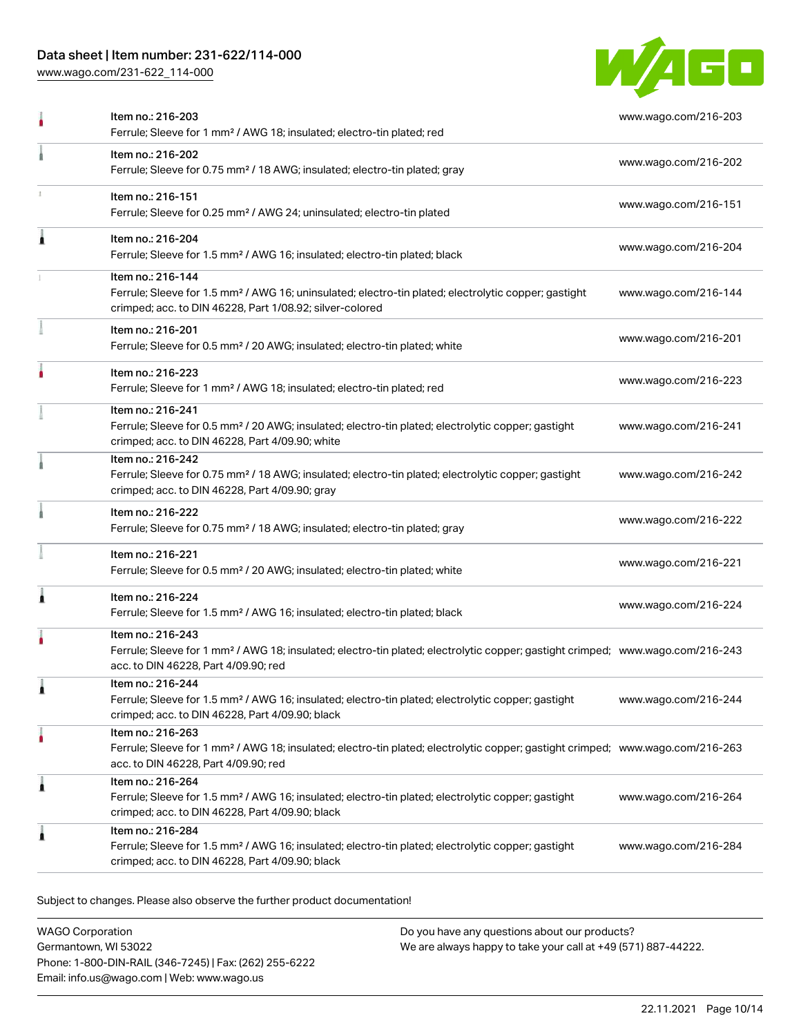# Data sheet | Item number: 231-622/114-000

[www.wago.com/231-622\\_114-000](http://www.wago.com/231-622_114-000)



| Item no.: 216-202<br>www.wago.com/216-202<br>Ferrule; Sleeve for 0.75 mm <sup>2</sup> / 18 AWG; insulated; electro-tin plated; gray<br>Item no.: 216-151<br>www.wago.com/216-151<br>Ferrule; Sleeve for 0.25 mm <sup>2</sup> / AWG 24; uninsulated; electro-tin plated<br>Item no.: 216-204<br>www.wago.com/216-204<br>Ferrule; Sleeve for 1.5 mm <sup>2</sup> / AWG 16; insulated; electro-tin plated; black<br>Item no.: 216-144<br>Ferrule; Sleeve for 1.5 mm <sup>2</sup> / AWG 16; uninsulated; electro-tin plated; electrolytic copper; gastight<br>www.wago.com/216-144<br>crimped; acc. to DIN 46228, Part 1/08.92; silver-colored<br>Item no.: 216-201<br>www.wago.com/216-201<br>Ferrule; Sleeve for 0.5 mm <sup>2</sup> / 20 AWG; insulated; electro-tin plated; white<br>Item no.: 216-223<br>www.wago.com/216-223<br>Ferrule; Sleeve for 1 mm <sup>2</sup> / AWG 18; insulated; electro-tin plated; red<br>Item no.: 216-241<br>Ferrule; Sleeve for 0.5 mm <sup>2</sup> / 20 AWG; insulated; electro-tin plated; electrolytic copper; gastight<br>www.wago.com/216-241<br>crimped; acc. to DIN 46228, Part 4/09.90; white<br>Item no.: 216-242<br>Ferrule; Sleeve for 0.75 mm <sup>2</sup> / 18 AWG; insulated; electro-tin plated; electrolytic copper; gastight<br>www.wago.com/216-242<br>crimped; acc. to DIN 46228, Part 4/09.90; gray<br>Item no.: 216-222<br>www.wago.com/216-222<br>Ferrule; Sleeve for 0.75 mm <sup>2</sup> / 18 AWG; insulated; electro-tin plated; gray<br>Item no.: 216-221<br>www.wago.com/216-221<br>Ferrule; Sleeve for 0.5 mm <sup>2</sup> / 20 AWG; insulated; electro-tin plated; white<br>Item no.: 216-224<br>www.wago.com/216-224<br>Ferrule; Sleeve for 1.5 mm <sup>2</sup> / AWG 16; insulated; electro-tin plated; black<br>Item no.: 216-243<br>Ferrule; Sleeve for 1 mm <sup>2</sup> / AWG 18; insulated; electro-tin plated; electrolytic copper; gastight crimped; www.wago.com/216-243<br>acc. to DIN 46228, Part 4/09.90; red<br>Item no.: 216-244<br>Ferrule; Sleeve for 1.5 mm <sup>2</sup> / AWG 16; insulated; electro-tin plated; electrolytic copper; gastight<br>www.wago.com/216-244<br>crimped; acc. to DIN 46228, Part 4/09.90; black<br>Item no.: 216-263<br>Ferrule; Sleeve for 1 mm <sup>2</sup> / AWG 18; insulated; electro-tin plated; electrolytic copper; gastight crimped; www.wago.com/216-263<br>acc. to DIN 46228, Part 4/09.90; red<br>Item no.: 216-264<br>1<br>Ferrule; Sleeve for 1.5 mm <sup>2</sup> / AWG 16; insulated; electro-tin plated; electrolytic copper; gastight<br>www.wago.com/216-264<br>crimped; acc. to DIN 46228, Part 4/09.90; black<br>Item no.: 216-284<br>Ferrule; Sleeve for 1.5 mm <sup>2</sup> / AWG 16; insulated; electro-tin plated; electrolytic copper; gastight<br>www.wago.com/216-284 | Item no.: 216-203<br>Ferrule; Sleeve for 1 mm <sup>2</sup> / AWG 18; insulated; electro-tin plated; red | www.wago.com/216-203 |
|-------------------------------------------------------------------------------------------------------------------------------------------------------------------------------------------------------------------------------------------------------------------------------------------------------------------------------------------------------------------------------------------------------------------------------------------------------------------------------------------------------------------------------------------------------------------------------------------------------------------------------------------------------------------------------------------------------------------------------------------------------------------------------------------------------------------------------------------------------------------------------------------------------------------------------------------------------------------------------------------------------------------------------------------------------------------------------------------------------------------------------------------------------------------------------------------------------------------------------------------------------------------------------------------------------------------------------------------------------------------------------------------------------------------------------------------------------------------------------------------------------------------------------------------------------------------------------------------------------------------------------------------------------------------------------------------------------------------------------------------------------------------------------------------------------------------------------------------------------------------------------------------------------------------------------------------------------------------------------------------------------------------------------------------------------------------------------------------------------------------------------------------------------------------------------------------------------------------------------------------------------------------------------------------------------------------------------------------------------------------------------------------------------------------------------------------------------------------------------------------------------------------------------------------------------------------------------------------------------------------------------------------------------------------------------------------------------------------------------------------------------------------------------------------------------------|---------------------------------------------------------------------------------------------------------|----------------------|
|                                                                                                                                                                                                                                                                                                                                                                                                                                                                                                                                                                                                                                                                                                                                                                                                                                                                                                                                                                                                                                                                                                                                                                                                                                                                                                                                                                                                                                                                                                                                                                                                                                                                                                                                                                                                                                                                                                                                                                                                                                                                                                                                                                                                                                                                                                                                                                                                                                                                                                                                                                                                                                                                                                                                                                                                             |                                                                                                         |                      |
|                                                                                                                                                                                                                                                                                                                                                                                                                                                                                                                                                                                                                                                                                                                                                                                                                                                                                                                                                                                                                                                                                                                                                                                                                                                                                                                                                                                                                                                                                                                                                                                                                                                                                                                                                                                                                                                                                                                                                                                                                                                                                                                                                                                                                                                                                                                                                                                                                                                                                                                                                                                                                                                                                                                                                                                                             |                                                                                                         |                      |
|                                                                                                                                                                                                                                                                                                                                                                                                                                                                                                                                                                                                                                                                                                                                                                                                                                                                                                                                                                                                                                                                                                                                                                                                                                                                                                                                                                                                                                                                                                                                                                                                                                                                                                                                                                                                                                                                                                                                                                                                                                                                                                                                                                                                                                                                                                                                                                                                                                                                                                                                                                                                                                                                                                                                                                                                             |                                                                                                         |                      |
|                                                                                                                                                                                                                                                                                                                                                                                                                                                                                                                                                                                                                                                                                                                                                                                                                                                                                                                                                                                                                                                                                                                                                                                                                                                                                                                                                                                                                                                                                                                                                                                                                                                                                                                                                                                                                                                                                                                                                                                                                                                                                                                                                                                                                                                                                                                                                                                                                                                                                                                                                                                                                                                                                                                                                                                                             |                                                                                                         |                      |
|                                                                                                                                                                                                                                                                                                                                                                                                                                                                                                                                                                                                                                                                                                                                                                                                                                                                                                                                                                                                                                                                                                                                                                                                                                                                                                                                                                                                                                                                                                                                                                                                                                                                                                                                                                                                                                                                                                                                                                                                                                                                                                                                                                                                                                                                                                                                                                                                                                                                                                                                                                                                                                                                                                                                                                                                             |                                                                                                         |                      |
|                                                                                                                                                                                                                                                                                                                                                                                                                                                                                                                                                                                                                                                                                                                                                                                                                                                                                                                                                                                                                                                                                                                                                                                                                                                                                                                                                                                                                                                                                                                                                                                                                                                                                                                                                                                                                                                                                                                                                                                                                                                                                                                                                                                                                                                                                                                                                                                                                                                                                                                                                                                                                                                                                                                                                                                                             |                                                                                                         |                      |
|                                                                                                                                                                                                                                                                                                                                                                                                                                                                                                                                                                                                                                                                                                                                                                                                                                                                                                                                                                                                                                                                                                                                                                                                                                                                                                                                                                                                                                                                                                                                                                                                                                                                                                                                                                                                                                                                                                                                                                                                                                                                                                                                                                                                                                                                                                                                                                                                                                                                                                                                                                                                                                                                                                                                                                                                             |                                                                                                         |                      |
|                                                                                                                                                                                                                                                                                                                                                                                                                                                                                                                                                                                                                                                                                                                                                                                                                                                                                                                                                                                                                                                                                                                                                                                                                                                                                                                                                                                                                                                                                                                                                                                                                                                                                                                                                                                                                                                                                                                                                                                                                                                                                                                                                                                                                                                                                                                                                                                                                                                                                                                                                                                                                                                                                                                                                                                                             |                                                                                                         |                      |
|                                                                                                                                                                                                                                                                                                                                                                                                                                                                                                                                                                                                                                                                                                                                                                                                                                                                                                                                                                                                                                                                                                                                                                                                                                                                                                                                                                                                                                                                                                                                                                                                                                                                                                                                                                                                                                                                                                                                                                                                                                                                                                                                                                                                                                                                                                                                                                                                                                                                                                                                                                                                                                                                                                                                                                                                             |                                                                                                         |                      |
|                                                                                                                                                                                                                                                                                                                                                                                                                                                                                                                                                                                                                                                                                                                                                                                                                                                                                                                                                                                                                                                                                                                                                                                                                                                                                                                                                                                                                                                                                                                                                                                                                                                                                                                                                                                                                                                                                                                                                                                                                                                                                                                                                                                                                                                                                                                                                                                                                                                                                                                                                                                                                                                                                                                                                                                                             |                                                                                                         |                      |
|                                                                                                                                                                                                                                                                                                                                                                                                                                                                                                                                                                                                                                                                                                                                                                                                                                                                                                                                                                                                                                                                                                                                                                                                                                                                                                                                                                                                                                                                                                                                                                                                                                                                                                                                                                                                                                                                                                                                                                                                                                                                                                                                                                                                                                                                                                                                                                                                                                                                                                                                                                                                                                                                                                                                                                                                             |                                                                                                         |                      |
|                                                                                                                                                                                                                                                                                                                                                                                                                                                                                                                                                                                                                                                                                                                                                                                                                                                                                                                                                                                                                                                                                                                                                                                                                                                                                                                                                                                                                                                                                                                                                                                                                                                                                                                                                                                                                                                                                                                                                                                                                                                                                                                                                                                                                                                                                                                                                                                                                                                                                                                                                                                                                                                                                                                                                                                                             |                                                                                                         |                      |
|                                                                                                                                                                                                                                                                                                                                                                                                                                                                                                                                                                                                                                                                                                                                                                                                                                                                                                                                                                                                                                                                                                                                                                                                                                                                                                                                                                                                                                                                                                                                                                                                                                                                                                                                                                                                                                                                                                                                                                                                                                                                                                                                                                                                                                                                                                                                                                                                                                                                                                                                                                                                                                                                                                                                                                                                             |                                                                                                         |                      |
|                                                                                                                                                                                                                                                                                                                                                                                                                                                                                                                                                                                                                                                                                                                                                                                                                                                                                                                                                                                                                                                                                                                                                                                                                                                                                                                                                                                                                                                                                                                                                                                                                                                                                                                                                                                                                                                                                                                                                                                                                                                                                                                                                                                                                                                                                                                                                                                                                                                                                                                                                                                                                                                                                                                                                                                                             |                                                                                                         |                      |
|                                                                                                                                                                                                                                                                                                                                                                                                                                                                                                                                                                                                                                                                                                                                                                                                                                                                                                                                                                                                                                                                                                                                                                                                                                                                                                                                                                                                                                                                                                                                                                                                                                                                                                                                                                                                                                                                                                                                                                                                                                                                                                                                                                                                                                                                                                                                                                                                                                                                                                                                                                                                                                                                                                                                                                                                             |                                                                                                         |                      |
|                                                                                                                                                                                                                                                                                                                                                                                                                                                                                                                                                                                                                                                                                                                                                                                                                                                                                                                                                                                                                                                                                                                                                                                                                                                                                                                                                                                                                                                                                                                                                                                                                                                                                                                                                                                                                                                                                                                                                                                                                                                                                                                                                                                                                                                                                                                                                                                                                                                                                                                                                                                                                                                                                                                                                                                                             | crimped; acc. to DIN 46228, Part 4/09.90; black                                                         |                      |

Subject to changes. Please also observe the further product documentation!

WAGO Corporation Germantown, WI 53022 Phone: 1-800-DIN-RAIL (346-7245) | Fax: (262) 255-6222 Email: info.us@wago.com | Web: www.wago.us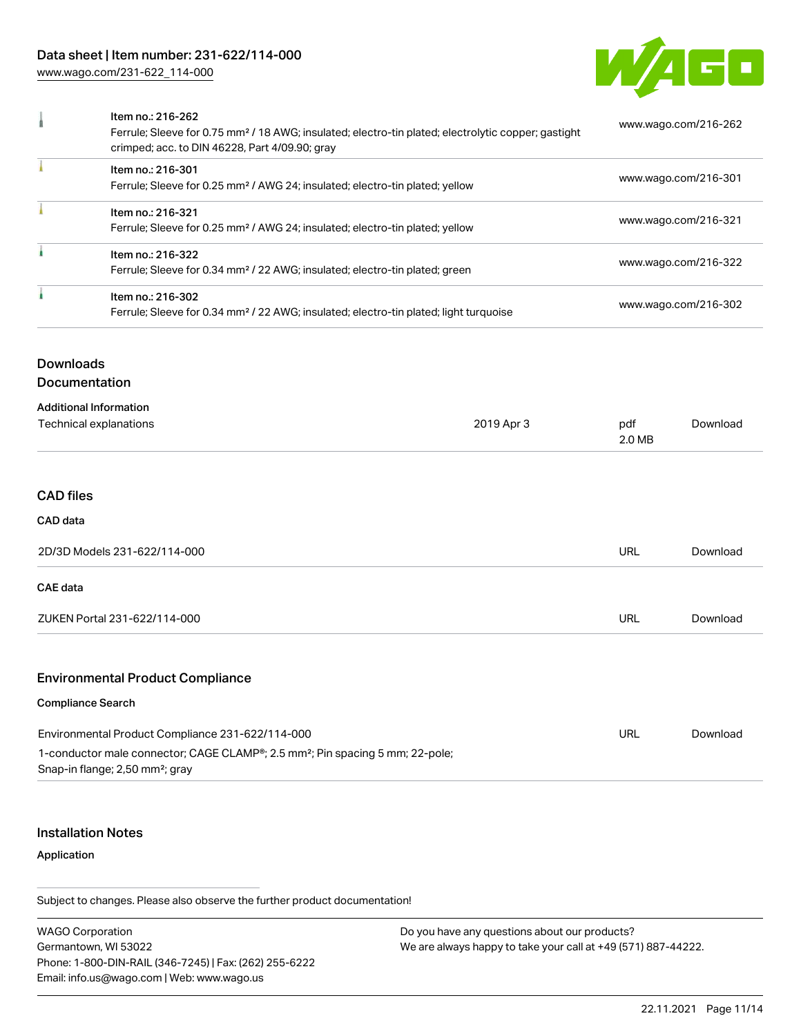# Data sheet | Item number: 231-622/114-000

[www.wago.com/231-622\\_114-000](http://www.wago.com/231-622_114-000)



| Item no.: 216-262<br>Ferrule; Sleeve for 0.75 mm <sup>2</sup> / 18 AWG; insulated; electro-tin plated; electrolytic copper; gastight<br>crimped; acc. to DIN 46228, Part 4/09.90; gray | www.wago.com/216-262 |
|----------------------------------------------------------------------------------------------------------------------------------------------------------------------------------------|----------------------|
| Item no.: 216-301<br>Ferrule; Sleeve for 0.25 mm <sup>2</sup> / AWG 24; insulated; electro-tin plated; yellow                                                                          | www.wago.com/216-301 |
| Item no.: 216-321<br>Ferrule; Sleeve for 0.25 mm <sup>2</sup> / AWG 24; insulated; electro-tin plated; yellow                                                                          | www.wago.com/216-321 |
| Item no.: 216-322<br>Ferrule; Sleeve for 0.34 mm <sup>2</sup> / 22 AWG; insulated; electro-tin plated; green                                                                           | www.wago.com/216-322 |
| Item no.: 216-302<br>Ferrule; Sleeve for 0.34 mm <sup>2</sup> / 22 AWG; insulated; electro-tin plated; light turquoise                                                                 | www.wago.com/216-302 |

# Downloads

Documentation

#### Additional Information

| 2019 Apr 3 | pdf<br>2.0 MB | Download |
|------------|---------------|----------|
|            |               |          |
|            |               |          |
|            |               |          |
|            | <b>URL</b>    | Download |
|            |               |          |
|            | <b>URL</b>    | Download |
|            |               |          |

# Environmental Product Compliance

#### Compliance Search

| Environmental Product Compliance 231-622/114-000                                          | URL | Download |
|-------------------------------------------------------------------------------------------|-----|----------|
| 1-conductor male connector; CAGE CLAMP®; 2.5 mm <sup>2</sup> ; Pin spacing 5 mm; 22-pole; |     |          |
| Snap-in flange; 2,50 mm <sup>2</sup> ; gray                                               |     |          |

#### Installation Notes

#### Application

Subject to changes. Please also observe the further product documentation!

WAGO Corporation Germantown, WI 53022 Phone: 1-800-DIN-RAIL (346-7245) | Fax: (262) 255-6222 Email: info.us@wago.com | Web: www.wago.us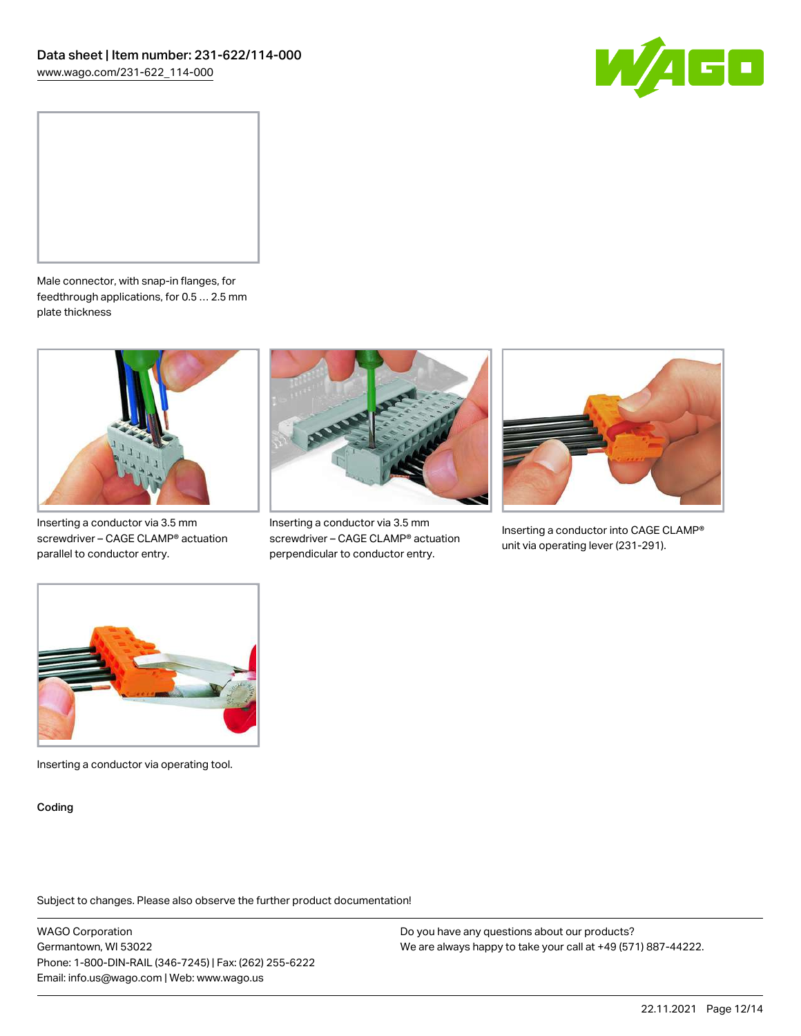



Male connector, with snap-in flanges, for feedthrough applications, for 0.5 … 2.5 mm plate thickness



Inserting a conductor via 3.5 mm screwdriver – CAGE CLAMP® actuation parallel to conductor entry.



Inserting a conductor via 3.5 mm screwdriver – CAGE CLAMP® actuation perpendicular to conductor entry.



Inserting a conductor into CAGE CLAMP® unit via operating lever (231-291).



Inserting a conductor via operating tool.

Coding

Subject to changes. Please also observe the further product documentation!

WAGO Corporation Germantown, WI 53022 Phone: 1-800-DIN-RAIL (346-7245) | Fax: (262) 255-6222 Email: info.us@wago.com | Web: www.wago.us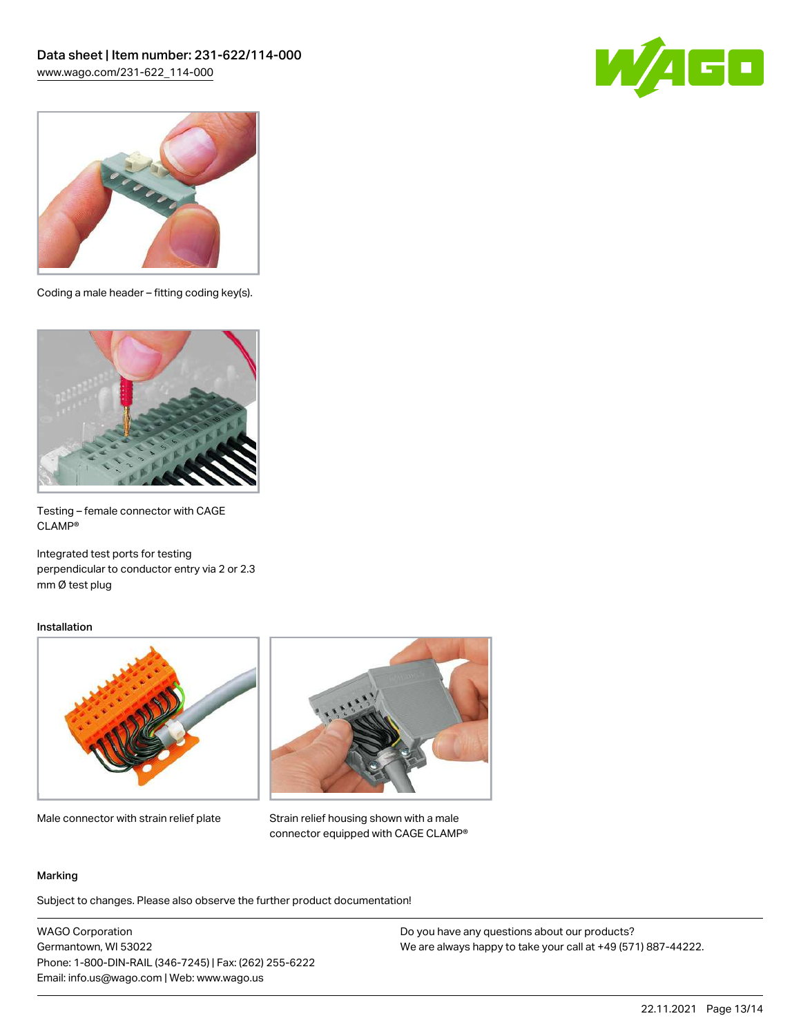



Coding a male header – fitting coding key(s).



Testing – female connector with CAGE CLAMP®

Integrated test ports for testing perpendicular to conductor entry via 2 or 2.3 mm Ø test plug

#### Installation



Male connector with strain relief plate



Strain relief housing shown with a male connector equipped with CAGE CLAMP®

#### Marking

Subject to changes. Please also observe the further product documentation!

WAGO Corporation Germantown, WI 53022 Phone: 1-800-DIN-RAIL (346-7245) | Fax: (262) 255-6222 Email: info.us@wago.com | Web: www.wago.us